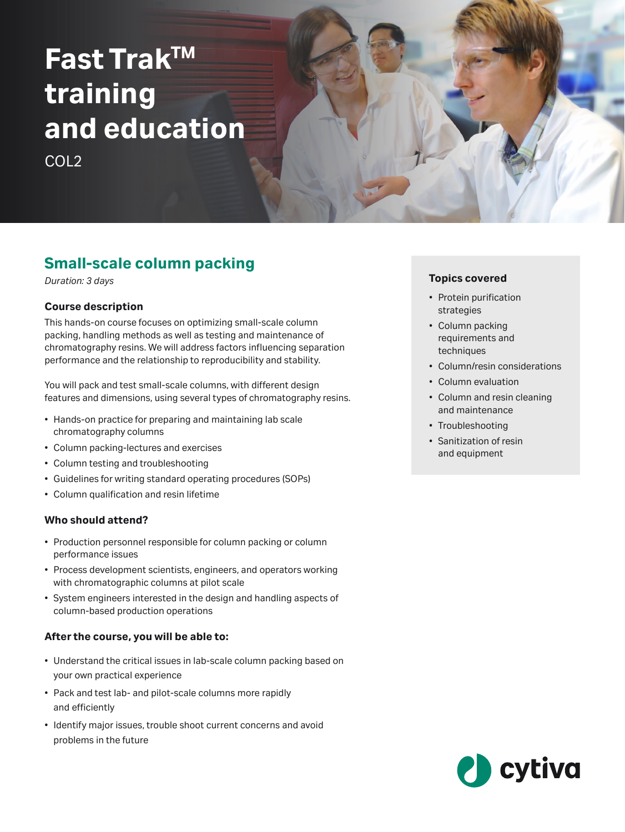# **Fast TrakTM training and education**

COL2

## **Small-scale column packing**

*Duration: 3 days*

#### **Course description**

This hands-on course focuses on optimizing small-scale column packing, handling methods as well as testing and maintenance of chromatography resins. We will address factors influencing separation performance and the relationship to reproducibility and stability.

You will pack and test small-scale columns, with different design features and dimensions, using several types of chromatography resins.

- Hands-on practice for preparing and maintaining lab scale chromatography columns
- Column packing-lectures and exercises
- Column testing and troubleshooting
- Guidelines for writing standard operating procedures (SOPs)
- Column qualification and resin lifetime

#### **Who should attend?**

- Production personnel responsible for column packing or column performance issues
- Process development scientists, engineers, and operators working with chromatographic columns at pilot scale
- System engineers interested in the design and handling aspects of column-based production operations

#### **After the course, you will be able to:**

- Understand the critical issues in lab-scale column packing based on your own practical experience
- Pack and test lab- and pilot-scale columns more rapidly and efficiently
- Identify major issues, trouble shoot current concerns and avoid problems in the future

#### **Topics covered**

- Protein purification strategies
- Column packing requirements and techniques
- Column/resin considerations
- Column evaluation
- Column and resin cleaning and maintenance
- Troubleshooting
- Sanitization of resin and equipment

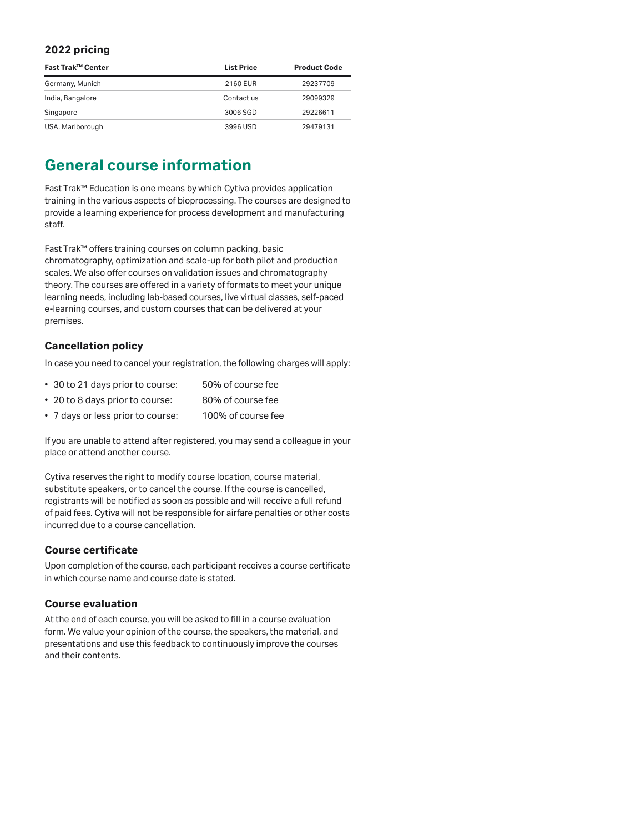#### **2022 pricing**

| Fast Trak™ Center | <b>List Price</b> | <b>Product Code</b> |
|-------------------|-------------------|---------------------|
| Germany, Munich   | 2160 EUR          | 29237709            |
| India, Bangalore  | Contact us        | 29099329            |
| Singapore         | 3006 SGD          | 29226611            |
| USA, Marlborough  | 3996 USD          | 29479131            |

### **General course information**

Fast Trak™ Education is one means by which Cytiva provides application training in the various aspects of bioprocessing. The courses are designed to provide a learning experience for process development and manufacturing staff.

Fast Trak™ offers training courses on column packing, basic chromatography, optimization and scale-up for both pilot and production scales. We also offer courses on validation issues and chromatography theory. The courses are offered in a variety of formats to meet your unique learning needs, including lab-based courses, live virtual classes, self-paced e-learning courses, and custom courses that can be delivered at your premises.

#### **Cancellation policy**

In case you need to cancel your registration, the following charges will apply:

- 30 to 21 days prior to course: 50% of course fee
- 20 to 8 days prior to course: 80% of course fee
- 7 days or less prior to course: 100% of course fee

If you are unable to attend after registered, you may send a colleague in your place or attend another course.

Cytiva reserves the right to modify course location, course material, substitute speakers, or to cancel the course. If the course is cancelled, registrants will be notified as soon as possible and will receive a full refund of paid fees. Cytiva will not be responsible for airfare penalties or other costs incurred due to a course cancellation.

#### **Course certificate**

Upon completion of the course, each participant receives a course certificate in which course name and course date is stated.

#### **Course evaluation**

At the end of each course, you will be asked to fill in a course evaluation form. We value your opinion of the course, the speakers, the material, and presentations and use this feedback to continuously improve the courses and their contents.